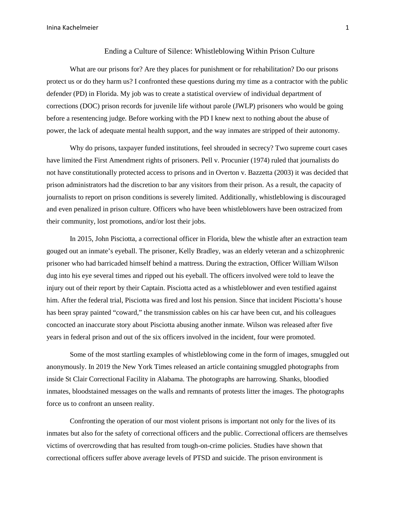## Ending a Culture of Silence: Whistleblowing Within Prison Culture

What are our prisons for? Are they places for punishment or for rehabilitation? Do our prisons protect us or do they harm us? I confronted these questions during my time as a contractor with the public defender (PD) in Florida. My job was to create a statistical overview of individual department of corrections (DOC) prison records for juvenile life without parole (JWLP) prisoners who would be going before a resentencing judge. Before working with the PD I knew next to nothing about the abuse of power, the lack of adequate mental health support, and the way inmates are stripped of their autonomy.

Why do prisons, taxpayer funded institutions, feel shrouded in secrecy? Two supreme court cases have limited the First Amendment rights of prisoners. Pell v. Procunier (1974) ruled that journalists do not have constitutionally protected access to prisons and in Overton v. Bazzetta (2003) it was decided that prison administrators had the discretion to bar any visitors from their prison. As a result, the capacity of journalists to report on prison conditions is severely limited. Additionally, whistleblowing is discouraged and even penalized in prison culture. Officers who have been whistleblowers have been ostracized from their community, lost promotions, and/or lost their jobs.

In 2015, John Pisciotta, a correctional officer in Florida, blew the whistle after an extraction team gouged out an inmate's eyeball. The prisoner, Kelly Bradley, was an elderly veteran and a schizophrenic prisoner who had barricaded himself behind a mattress. During the extraction, Officer William Wilson dug into his eye several times and ripped out his eyeball. The officers involved were told to leave the injury out of their report by their Captain. Pisciotta acted as a whistleblower and even testified against him. After the federal trial, Pisciotta was fired and lost his pension. Since that incident Pisciotta's house has been spray painted "coward," the transmission cables on his car have been cut, and his colleagues concocted an inaccurate story about Pisciotta abusing another inmate. Wilson was released after five years in federal prison and out of the six officers involved in the incident, four were promoted.

Some of the most startling examples of whistleblowing come in the form of images, smuggled out anonymously. In 2019 the New York Times released an article containing smuggled photographs from inside St Clair Correctional Facility in Alabama. The photographs are harrowing. Shanks, bloodied inmates, bloodstained messages on the walls and remnants of protests litter the images. The photographs force us to confront an unseen reality.

Confronting the operation of our most violent prisons is important not only for the lives of its inmates but also for the safety of correctional officers and the public. Correctional officers are themselves victims of overcrowding that has resulted from tough-on-crime policies. Studies have shown that correctional officers suffer above average levels of PTSD and suicide. The prison environment is